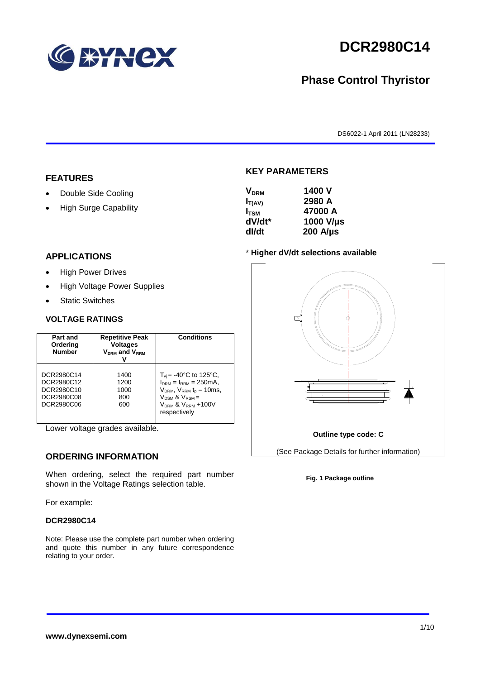

# **DCR2980C14**

## **Phase Control Thyristor**

DS6022-1 April 2011 (LN28233)

#### **FEATURES**

- Double Side Cooling
- High Surge Capability

#### **APPLICATIONS**

- High Power Drives
- High Voltage Power Supplies
- Static Switches

#### **VOLTAGE RATINGS**

| Part and<br>Ordering<br><b>Number</b>                              | <b>Repetitive Peak</b><br><b>Voltages</b><br>$V_{DRM}$ and $V_{RRM}$ | <b>Conditions</b>                                                                                                                                                                                      |
|--------------------------------------------------------------------|----------------------------------------------------------------------|--------------------------------------------------------------------------------------------------------------------------------------------------------------------------------------------------------|
| DCR2980C14<br>DCR2980C12<br>DCR2980C10<br>DCR2980C08<br>DCR2980C06 | 1400<br>1200<br>1000<br>800<br>600                                   | $T_{\rm vi}$ = -40°C to 125°C,<br>$I_{DRM} = I_{RRM} = 250 \text{mA}$<br>$V_{DRM}$ , $V_{RRM}$ $t_{p}$ = 10ms,<br>$V_{DSM}$ & $V_{RSM}$ =<br>V <sub>DRM</sub> & V <sub>RRM</sub> +100V<br>respectively |

Lower voltage grades available.

## **ORDERING INFORMATION**

When ordering, select the required part number shown in the Voltage Ratings selection table.

For example:

#### **DCR2980C14**

Note: Please use the complete part number when ordering and quote this number in any future correspondence relating to your order.

#### **KEY PARAMETERS**

| 1400 V           |
|------------------|
| 2980 A           |
| 47000 A          |
| 1000 V/µs        |
| $200$ A/ $\mu$ s |
|                  |

#### \* **Higher dV/dt selections available**



#### **Fig. 1 Package outline**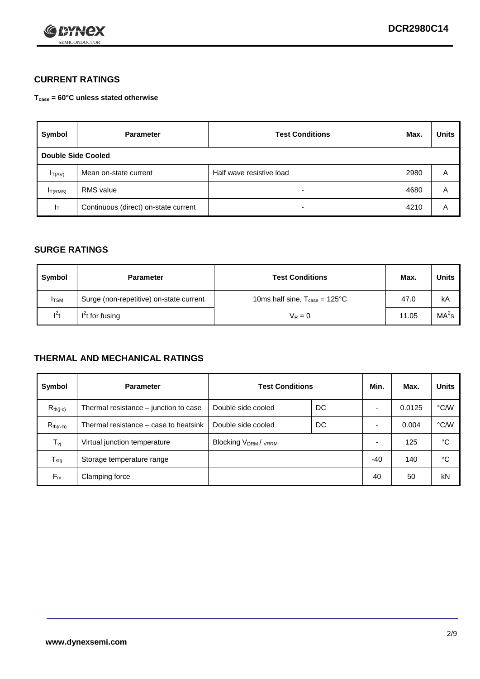

## **CURRENT RATINGS**

**Tcase = 60°C unless stated otherwise**

| Symbol             | <b>Parameter</b>                     | <b>Test Conditions</b>   | Max. | <b>Units</b> |
|--------------------|--------------------------------------|--------------------------|------|--------------|
| Double Side Cooled |                                      |                          |      |              |
| $I_{T(AV)}$        | Mean on-state current                | Half wave resistive load | 2980 | Α            |
| $I_{T(RMS)}$       | <b>RMS</b> value                     | -                        | 4680 | A            |
| Iт                 | Continuous (direct) on-state current | $\overline{\phantom{0}}$ | 4210 | Α            |

#### **SURGE RATINGS**

| Symbol       | <b>Parameter</b>                        | <b>Test Conditions</b>                           | Max.  | <b>Units</b>      |
|--------------|-----------------------------------------|--------------------------------------------------|-------|-------------------|
| <b>I</b> TSM | Surge (non-repetitive) on-state current | 10ms half sine, $T_{\text{case}} = 125^{\circ}C$ | 47.0  | kA                |
| $l^2t$       | I <sup>2</sup> t for fusing             | $V_R = 0$                                        | 11.05 | MA <sup>2</sup> S |

### **THERMAL AND MECHANICAL RATINGS**

| Symbol           | <b>Parameter</b>                      | <b>Test Conditions</b>    |    | Min. | Max.   | <b>Units</b> |
|------------------|---------------------------------------|---------------------------|----|------|--------|--------------|
| $R_{th(i-c)}$    | Thermal resistance – junction to case | Double side cooled        | DC |      | 0.0125 | °C/W         |
| $R_{th(c-h)}$    | Thermal resistance – case to heatsink | Double side cooled        | DC |      | 0.004  | °C/W         |
| $T_{\nu j}$      | Virtual junction temperature          | <b>Blocking VDRM/VRRM</b> |    |      | 125    | °C           |
| $T_{\text{stg}}$ | Storage temperature range             |                           |    | -40  | 140    | °C           |
| $F_m$            | Clamping force                        |                           |    | 40   | 50     | kN           |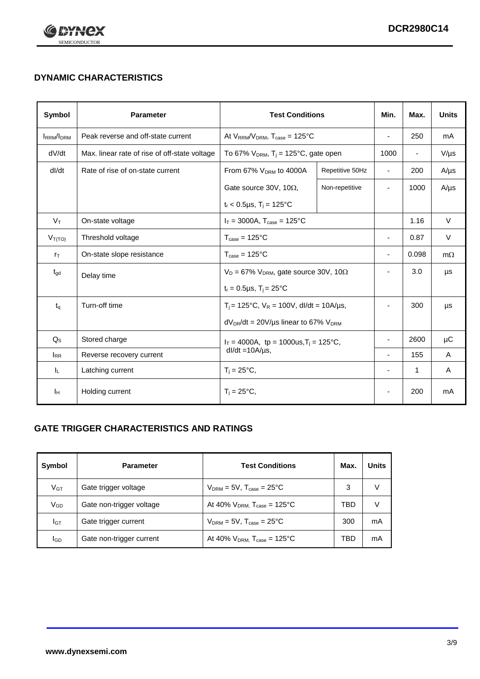

## **DYNAMIC CHARACTERISTICS**

| Symbol            | <b>Parameter</b>                                              | <b>Test Conditions</b>                                       |                 | Min.                     | Max.                     | <b>Units</b> |
|-------------------|---------------------------------------------------------------|--------------------------------------------------------------|-----------------|--------------------------|--------------------------|--------------|
| <b>IRRM</b> /IDRM | Peak reverse and off-state current                            | At $V_{RRM}/V_{DRM}$ , $T_{case} = 125^{\circ}C$             |                 | L,                       | 250                      | mA           |
| dV/dt             | Max. linear rate of rise of off-state voltage                 | To 67% $V_{DRM}$ , T <sub>i</sub> = 125°C, gate open         |                 | 1000                     | $\overline{\phantom{a}}$ | $V/\mu s$    |
| dl/dt             | Rate of rise of on-state current                              | From 67% $V_{DRM}$ to 4000A                                  | Repetitive 50Hz | $\overline{\phantom{a}}$ | 200                      | $A/\mu s$    |
|                   |                                                               | Gate source 30V, 10 $\Omega$ ,                               | Non-repetitive  | ٠                        | 1000                     | $A/\mu s$    |
|                   |                                                               | $t_r$ < 0.5µs, $T_i$ = 125°C                                 |                 |                          |                          |              |
| $V_T$             | On-state voltage                                              | $I_T = 3000A$ , $T_{case} = 125^{\circ}C$                    |                 |                          | 1.16                     | $\vee$       |
| $V_{T(TO)}$       | Threshold voltage                                             | $T_{\text{case}} = 125^{\circ}C$                             |                 |                          | 0.87                     | $\vee$       |
| $r_{\text{T}}$    | On-state slope resistance                                     | $T_{\text{case}} = 125^{\circ}C$                             |                 | ÷                        | 0.098                    | $m\Omega$    |
| $t_{\rm gd}$      | Delay time                                                    | $V_D = 67\%$ V <sub>DRM</sub> , gate source 30V, 10 $\Omega$ |                 | ٠                        | 3.0                      | μs           |
|                   |                                                               | $t_r = 0.5 \mu s$ , $T_i = 25^{\circ}C$                      |                 |                          |                          |              |
| $t_q$             | Turn-off time                                                 | $T_i$ = 125°C, $V_R$ = 100V, dl/dt = 10A/µs,                 |                 | ٠                        | 300                      | μs           |
|                   |                                                               | $dV_{DR}/dt = 20 V/\mu s$ linear to 67% $V_{DRM}$            |                 |                          |                          |              |
| $Q_{\rm S}$       | Stored charge<br>$I_T = 4000A$ , tp = 1000us, $T_i = 125$ °C, |                                                              |                 | 2600                     | μC                       |              |
| $I_{RR}$          | Reverse recovery current                                      | $dl/dt = 10A/\mu s$ ,                                        |                 |                          | 155                      | A            |
| IL.               | Latching current                                              | $T_i = 25^{\circ}C$ ,                                        |                 | $\overline{\phantom{0}}$ | 1                        | Α            |
| ΙH                | Holding current                                               | $T_i = 25^{\circ}C,$                                         |                 |                          | 200                      | mA           |

## **GATE TRIGGER CHARACTERISTICS AND RATINGS**

| Symbol          | <b>Parameter</b>         | <b>Test Conditions</b>                       | Max. | <b>Units</b> |
|-----------------|--------------------------|----------------------------------------------|------|--------------|
| V <sub>GT</sub> | Gate trigger voltage     | $V_{DRM}$ = 5V, $T_{case}$ = 25°C            | 3    | V            |
| $V_{GD}$        | Gate non-trigger voltage | At 40% $V_{DRM}$ , $T_{case}$ = 125°C        | TBD  | V            |
| Iст             | Gate trigger current     | $V_{DRM}$ = 5V, $T_{case}$ = 25°C            | 300  | mA           |
| lgp             | Gate non-trigger current | At 40% $V_{DRM}$ , $T_{case} = 125^{\circ}C$ | TBD  | mA           |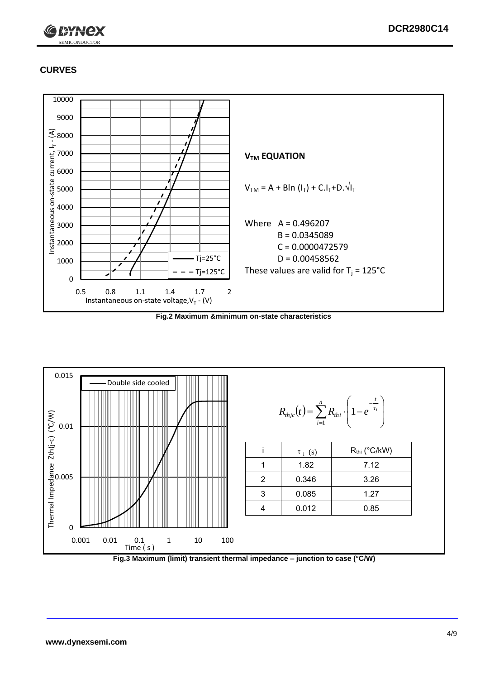

## **CURVES**



**Fig.2 Maximum &minimum on-state characteristics**



**Fig.3 Maximum (limit) transient thermal impedance – junction to case (°C/W)**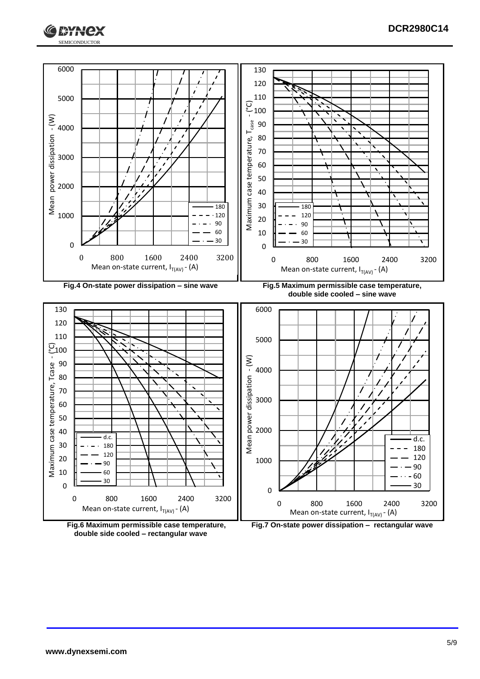





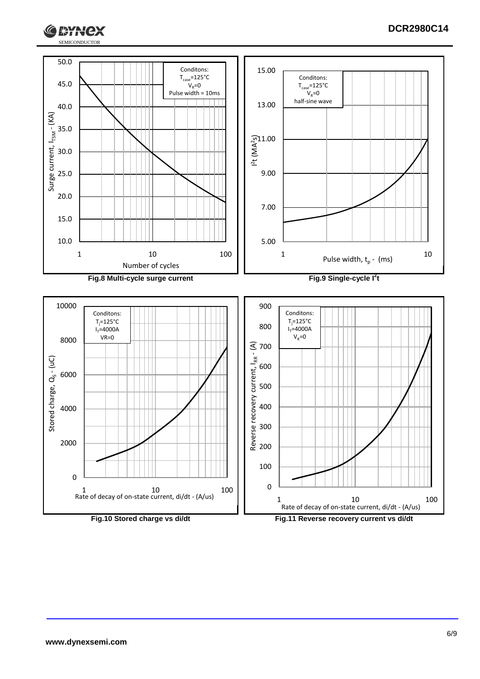

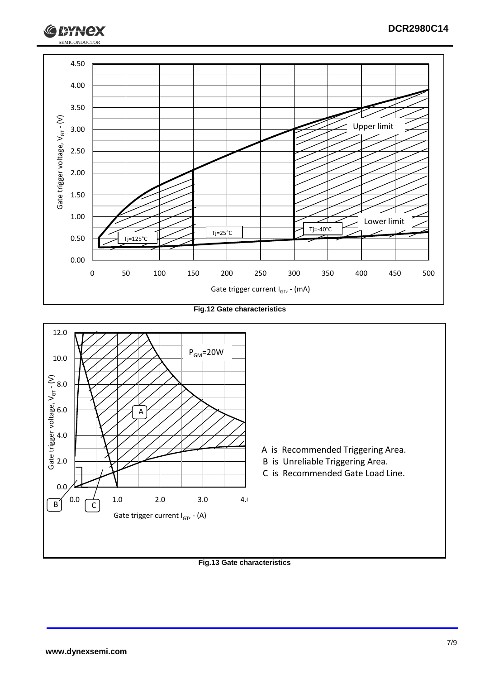

**Fig.12 Gate characteristics**



#### **Fig.13 Gate characteristics**

SEMICONDUCTOR

**RYH**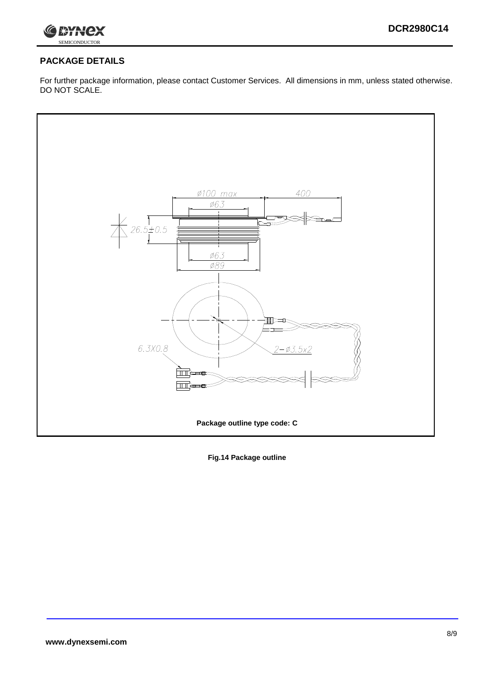

## **PACKAGE DETAILS**

For further package information, please contact Customer Services. All dimensions in mm, unless stated otherwise. DO NOT SCALE.



**Fig.14 Package outline**